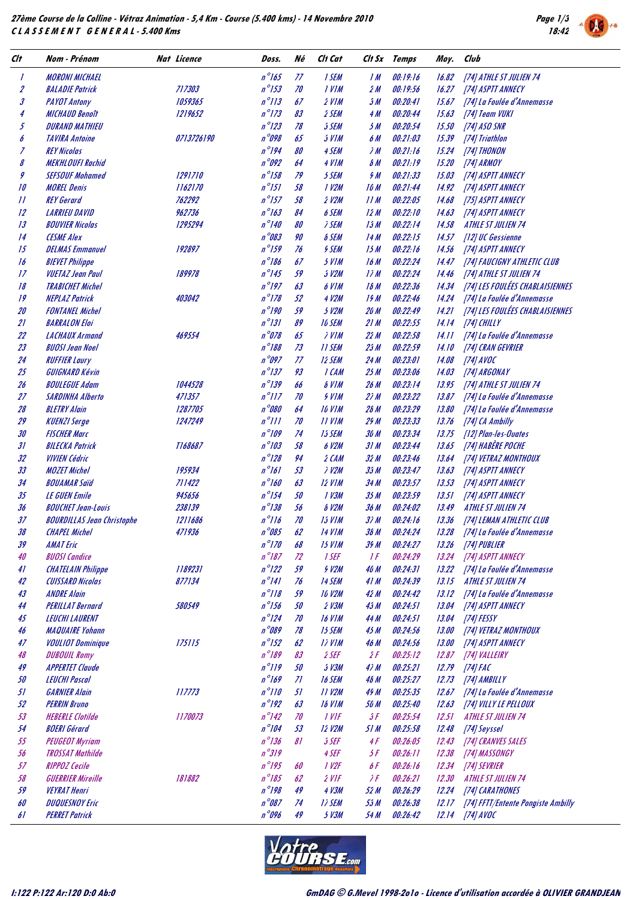**27ème Course de la Colline - Vétraz Animation - 5,4 Km - Course (5.400 kms) - 14 Novembre 2010 C L A S S E M E N T G E N E R A L - 5.400 Kms**



| Clt              | Nom - Prénom                                  | Nat Licence          | Doss.                              | Né       | Ch Cat                 |                               | Ch Sx Temps          | Moy.           | Club                               |
|------------------|-----------------------------------------------|----------------------|------------------------------------|----------|------------------------|-------------------------------|----------------------|----------------|------------------------------------|
| 1                | <b>MORONI MICHAEL</b>                         |                      | $n^{\circ}$ 165                    | 77       | 1 SEM                  | 1 M                           | 00:19:16             | 16.82          | [74] ATHLE ST JULIEN 74            |
| $\boldsymbol{z}$ | <b>BALADIE Patrick</b>                        | 717303               | $n^{\circ}$ 153                    | 70       | <b>IVIM</b>            | źМ                            | 00:19:56             | 16.27          | [74] ASPTT ANNECY                  |
| 3                | <b>PAYOT Antony</b>                           | 1059365              | $n^{\circ}/3$                      | 67       | $2$ VIM                | ĴМ                            | 00:20:41             | 15.67          | [74] La Foulée d'Annemasse         |
| 4                | <b>MICHAUD Benoît</b>                         | 1219652              | $n^{\circ}173$                     | 83       | 2 SEM                  | 4M                            | 00:20:44             | 15.63          | [74] Team VUKI                     |
| 5                | <b>DURAND MATHIEU</b>                         |                      | $n^{\circ}$ 123                    | 78       | <b>SSEM</b>            | 5M                            | 00:20:54             | 15.50          | [74] ASO SNR                       |
| 6                | <b>TAVIRA Antoine</b>                         | 0713726190           | $n^{\circ}$ 098                    | 65       | $J$ <i>VIM</i>         | 6 M                           | 00:21:03             | 15.39          | [74] Triathlon                     |
| Z                | <b>REY Nicolas</b>                            |                      | $n^{\circ}$ 194                    | 80       | 4 SEM                  | ìМ                            | 00:21:16             | 15.24          | [74] THONON                        |
| 8                | <b>MEKHLOUFI Rachid</b>                       |                      | $n^{\circ}092$                     | 64       | 4 VIM                  | $\delta M$                    | 00:21:19             | 15.20          | [74] ARMOY                         |
| 9                | <b>SEFSOUF Mohamed</b>                        | <i>1291710</i>       | $n^{\circ}$ 158                    | 79       | 5 SEM                  | 9 M                           | 00:21:33             | 15.03          | [74] ASPTT ANNECY                  |
| 10               | <b>MOREL Denis</b>                            | 1162170              | $n^{\circ}151$                     | 58       | 1 V2M                  | 16 M                          | 00:21:44             | 14.92          | [74] ASPTT ANNECY                  |
| 11               | <b>REY Gerard</b>                             | 762292               | $n^{\circ}$ 157                    | 58       | $2$ $V2M$              | 11M                           | 00:22:05             | 14.68          | [75] ASPTT ANNECY                  |
| 12               | <b>LARRIEU DAVID</b>                          | 962736               | $n^{\circ}163$                     | 84       | 6 SEM                  | 12 M                          | 00:22:10             | 14.63          | [74] ASPTT ANNECY                  |
| 13               | <b>BOUVIER Nicolas</b>                        | 1295294              | $n^{\circ}/40$                     | 80       | <i><b>J SEM</b></i>    | 15M                           | 00:22:14             | 14.58          | <b>ATHLE ST JULIEN 74</b>          |
| 14               | <b>CESME Alex</b>                             |                      | $n^{\circ}$ 083                    | 90       | <b>&amp; SEM</b>       | 14 M                          | 00:22:15             | 14.57          | [12] UC Gessienne                  |
| 15               | <b>DELMAS Emmanuel</b>                        | 192897               | $n^{\circ}$ 159                    | 76       | <b>9 SEM</b>           | 15M                           | 00:22:16             | 14.56          | [74] ASPTT ANNECY                  |
| 16               | <b>BIEVET Philippe</b>                        |                      | $n^{\circ}$ 186                    | 67       | $3$ $VIM$              | 16M                           | 00:22:24             | 14.47          | [74] FAUCIGNY ATHLETIC CLUB        |
| 17               | <b>VUETAZ Jean Paul</b>                       | <i><b>189978</b></i> | $n^{\circ}$ 145                    | 59       | 3 V2M                  | I/M                           | 00:22:24             | 14.46          | [74] ATHLE ST JULIEN 74            |
| 18               | <b>TRABICHET Michel</b>                       |                      | $n^{\circ}$ 197                    | 63       | 6 VIM                  | 16M                           | 00:22:36             | 14.34          | [74] LES FOULÉES CHABLAISIENNES    |
| 19               | <b>NEPLAZ Patrick</b>                         | 403042               | $n^{\circ}178$                     | 52       | 4 V2M                  | 19M                           | 00:22:46             | 14.24          | [74] La Foulée d'Annemasse         |
| 20               | <b>FONTANEL Michel</b>                        |                      | $n^{\circ}$ 190                    | 59       | 3 V2M                  | 20 M                          | 00:22:49             | 14.21          | [74] LES FOULÉES CHABLAISIENNES    |
| 21               | <b>BARRALON Eloi</b>                          |                      | $n^{\circ}/31$                     | 89       | <b>10 SEM</b>          | 21M                           | 00:22:55             | 14.14          | [74] CHILLY                        |
| 22               | <b>LACHAUX Armand</b>                         | 469554               | $n^{\circ}078$                     | 65       | <i><b>IVIM</b></i>     | 22 M                          | 00:22:58             | 14.11          | [74] La Foulée d'Annemasse         |
| 23               | <b>BUOSI Jean Noel</b>                        |                      | $n^{\circ}$ 188                    | 73       | <b>11 SEM</b>          | 25M                           | 00:22:59             | 14.10          | [74] CRAN GEVRIER                  |
| 24               | <b>RUFFIER Laury</b>                          |                      | $n^{\circ}$ 097                    | 77       | 12 SEM                 | 24 M                          | 00:23:01             | 14.08          | [74] AVOC                          |
| 25               | GUIGNARD Kévin                                |                      | $n^{\circ}$ 137                    | 93       | I CAM                  | 25M                           | 00:23:06             | 14.03          | [74] ARGONAY                       |
| 26               | <b>BOULEGUE Adam</b>                          | 1044528              | $n^{\circ}$ 139                    | 66       | <b>&amp; VIM</b>       | 26 M                          | 00:23:14             | 13.95          | [74] ATHLE ST JULIEN 74            |
| 27               | <b>SARDINHA Alberto</b>                       | 471357               | $n^{\circ}$ <i>N<sub>7</sub></i>   | 70       | <b>SVIM</b>            | 2iM                           | 00:23:22             | 13.87          | [74] La Foulée d'Annemasse         |
| 28               | <b>BLETRY Alain</b>                           | 1287705              | n °080                             | 64       | <b>10 V1M</b>          | 26 M                          | 00:23:29             | 13.80          | [74] La Foulée d'Annemasse         |
| 29               | <b>KUENZI Serge</b>                           | 1247249              | $n^{\circ}$ ///                    | 70       | <b>II VIM</b>          | 29M                           | 00:23:33             | 13.76          | [74] CA Ambilly                    |
| 30               | <b>FISCHER Marc</b>                           |                      | $n^{\circ}$ 109                    | 74       | 15 SEM                 | 30 M                          | 00:23:34             | 13.75          | [12] Plan-les-Ovates               |
| 31               | <b>BILECKA Patrick</b>                        | T168687              | $n^{\circ}$ 103                    | 58       | 6 V2M                  | 31 M                          | 00:23:44             | 13.65          | [74] HABERE POCHE                  |
| 32               | <i>VIVIEN Cédric</i>                          |                      | $n^{\circ}$ 128                    | 94       | $2$ CAM                | 32 M                          | 00:23:46             | 13.64          | [74] VETRAZ MONTHOUX               |
| 33               | <b>MOZET Michel</b>                           | 195934               | $n^{\circ}$ 161                    | 53       | <i><b>7 V2M</b></i>    | 35 M                          | 00:23:47             | 13.63          | [74] ASPTT ANNECY                  |
| 34               | <b>BOUAMAR Said</b>                           | 711422               | $n^{\circ}$ 160                    | 63       | <b>12 VIM</b>          | 34 M                          | 00:23:57             | 13.53          | [74] ASPTT ANNECY                  |
| 35               | <b>LE GUEN Emile</b>                          | 945656               | $n^{\circ}$ 154                    | 50       | 1 V3M                  | 35M                           | 00:23:59             | 13.51          | [74] ASPTT ANNECY                  |
| 36               | <b>BOUCHET Jean-Louis</b>                     | 238139               | $n^{\circ}$ 138                    | 56       | <b>8 V2M</b>           | 36 M                          | 00:24:02             | 13.49          | ATHLE ST JULIEN 74                 |
| 37               | <b>BOURDILLAS Jean Christophe</b>             | 1211686              | $n^{\circ}$ 116                    | 70       | <b>15 VIM</b>          | 3) M                          | 00:24:16             | 13.36          | [74] LEMAN ATHLETIC CLUB           |
| 38               | <b>CHAPEL Michel</b>                          | 471936               | n 085                              | 62       | 14 VIM                 | 38 M                          | <i>00:24:24</i>      | 13.28          | [74] La Foulée d'Annemasse         |
| 39               | <b>AMAT Eric</b>                              |                      | $n^{\circ}$ 170                    | 68       | $15$ $VIM$             | 39 M                          | 00:24:27             | 13.26          | [74] PUBLIER                       |
| 40               | <b>BUOSI</b> Candice                          |                      | $n^{\circ}187$                     | 72       | 1 SEF                  | $\frac{1}{2}$                 | 00:24:29             | 13.24          | [74] ASPTT ANNECY                  |
| 41               | <b>CHATELAIN Philippe</b>                     | 1189231              | $n^{\circ}$ 122                    | 59       | <b>9 V2M</b>           | 40 M                          | 00:24:31             | 13.22          | [74] La Foulée d'Annemasse         |
| 42               | <b>CUISSARD Nicolas</b>                       | 877134               | $n^{\circ}/4l$                     | 76       | 14 SEM                 | 41M                           | 00:24:39             | 13.15          | ATHLE ST JULIEN 74                 |
| 43               | <b>ANDRE Alain</b>                            |                      | $n^{\circ}$ 118                    | 59       | <b>10 V2M</b>          | 42M                           | 00:24:42             | 13.12          | [74] La Foulée d'Annemasse         |
| 44               | <b>PERILLAT Bernard</b>                       | 580549               | $n^{\circ}$ 156<br>$n^{\circ}$ 124 | 50       | $2$ $V3M$              | 45 M                          | 00:24:51             | 13.04          | [74] ASPTT ANNECY                  |
| 45               | <b>LEUCHI LAURENT</b>                         |                      | n°089                              | 70       | <b>16 VIM</b>          | 44 M                          | 00:24:51             | 13.04          | [74] FESSY                         |
| 46               | <b>MAQUAIRE Yohann</b>                        |                      | $n^{\circ}152$                     | 78       | 15 SEM                 | 45 M                          | 00:24:56             | 13.00          | [74] VETRAZ MONTHOUX               |
| 47               | <b>VOULIOT Dominique</b>                      | 175115               | $n^{\circ}$ 189                    | 62<br>83 | <b>17 VIM</b><br>2 SEF | 46 M<br>źF                    | 00:24:56<br>00:25:12 | 13.00          | [74] ASPTT ANNECY                  |
| 48<br>49         | <b>DUBOUIL Romy</b><br><b>APPERTET Claude</b> |                      | $n^{\circ}$ //9                    | 50       | $3$ $V3M$              | 4) M                          | 00:25:21             |                | 12.87 [74] VALLEIRY                |
| 50               | <b>LEUCHI Pascal</b>                          |                      | $n^{\circ}$ 169                    | ZI       | 16 SEM                 | 46 M                          | 00:25:27             | 12.79<br>12.73 | [74] FAC<br>[74] AMBILLY           |
| 51               | <b>GARNIER Alain</b>                          | 117773               | $n^{\circ}$ <i>  0</i>             | 51       | <b>11 V2M</b>          | 45 M                          | 00:25:35             | 12.67          | [74] La Foulée d'Annemasse         |
| 52               | <b>PERRIN Bruno</b>                           |                      | $n^{\circ}192$                     | 63       | <b>18 VIM</b>          | 50 M                          | 00:25:40             | 12.63          | [74] VILLY LE PELLOUX              |
| 53               | <b>HEBERLE Clotilde</b>                       | 1170073              | $n^{\circ}$ 142                    | 70       | $1$ VIF                | $\mathfrak{z}$ $\mathfrak{f}$ | 00:25:54             | 12.51          | ATHLE ST JULIEN 74                 |
| 54               | <b>BOERI</b> Gérard                           |                      | $n^{\circ}$ 104                    | 53       | <b>12 V2M</b>          | 51M                           | 00:25:58             | 12.48          | [74] Seyssel                       |
| 55               | <b>PEUGEOT Myriam</b>                         |                      | $n^{\circ}$ 136                    | 81       | 5 SEF                  | 4F                            | 00:26:05             | 12.43          | [74] CRANVES SALES                 |
| 56               | <b>TROSSAT Mathilde</b>                       |                      | $n^{\circ}$ 319                    |          | 4 SEF                  | 3 F                           | 00:26:11             | 12.38          | [74] MASSONGY                      |
| 57               | <b>RIPPOZ Cecile</b>                          |                      | $n^{\circ}$ 195                    | 60       | 1 V2F                  | 6 F                           | 00:26:16             | 12.34          | [74] SEVRIER                       |
| 58               | <b>GUERRIER Mireille</b>                      | 181882               | $n^{\circ}185$                     | 62       | $2$ VIF                | $\lambda F$                   | 00:26:21             | 12.30          | <b>ATHLE ST JULIEN 74</b>          |
| 59               | <b>VEYRAT Henri</b>                           |                      | $n^{\circ}$ 198                    | 49       | 4 V3M                  | 52 M                          | 00:26:29             | 12.24          | [74] CARATHONES                    |
| 60               | <b>DUQUESNOY Eric</b>                         |                      | $n^{\circ}087$                     | 74       | <b>17 SEM</b>          | 55 M                          | 00:26:38             | 12.17          | [74] FFTT/Entente Pongiste Ambilly |
| 61               | <b>PERRET Patrick</b>                         |                      | n°096                              | 49       | $5$ $V3M$              | 54 M                          | 00:26:42             |                | 12.14 [74] AVOC                    |
|                  |                                               |                      |                                    |          |                        |                               |                      |                |                                    |

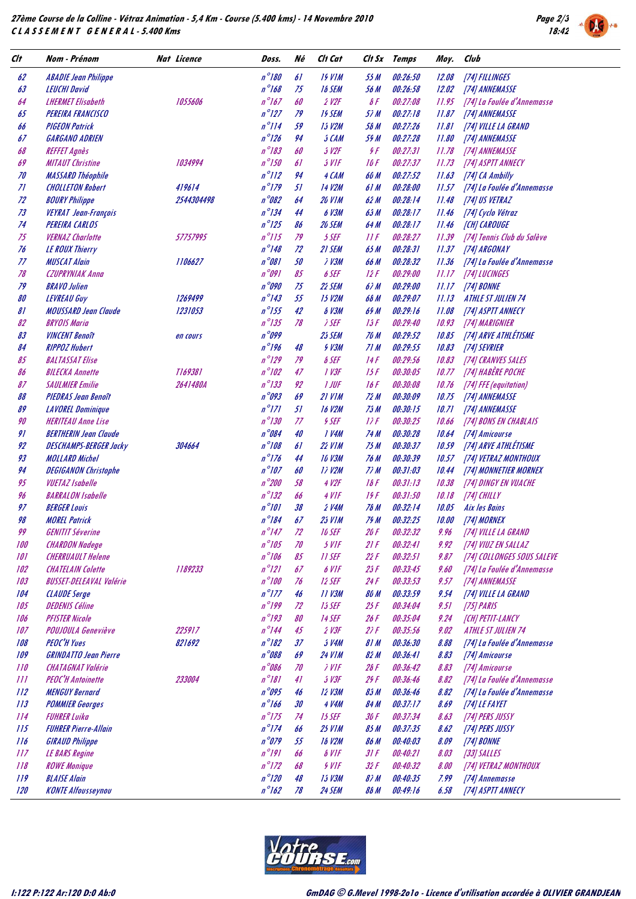

| $n^{\circ}$ 180<br>61<br><b>19 VIM</b><br>00:26:50<br>62<br><b>ABADIE Jean Philippe</b><br>55 M<br>12.08<br>[74] FILLINGES<br>$n^{\circ}168$<br>63<br>75<br>00:26:58<br><b>LEUCHI David</b><br><b>18 SEM</b><br>56 M<br>12.02<br>[74] ANNEMASSE<br>$n^{\circ}167$<br>60<br>$2$ V2F<br>$\delta F$<br>00:27:08<br>64<br><b>LHERMET Elisabeth</b><br>1055606<br>11.95<br>$n^{\circ}$ 127<br>65<br>79<br><b>19 SEM</b><br>57M<br>00:27:18<br><b>PEREIRA FRANCISCO</b><br>11.87<br>[74] ANNEMASSE<br>$n^{\circ}/14$<br>59<br>15 V2M<br>56 M<br>00:27:26<br>66<br><b>PIGEON Patrick</b><br>11.81<br>[74] VILLE LA GRAND<br>$n^{\circ}$ 126<br>67<br><b>GARGANO ADRIEN</b><br>94<br>5 CAM<br>59 M<br>00:27:28<br>11.80<br>[74] ANNEMASSE<br>$n^{\circ}183$<br>68<br>60<br>3 V2F<br>9F<br>00:27:31<br><b>REFFET Agnès</b><br>11.78<br>[74] ANNEMASSE<br>$n^{\circ}$ 150<br>69<br>00:27:37<br><b>MITAUT Christine</b><br>1034994<br>61<br>3 VIF<br>16 F<br>11.73<br>[74] ASPTT ANNECY<br>$n^{\circ}/12$<br>00:27:52<br>70<br>94<br>4 CAM<br><b>MASSARD Théophile</b><br>60 M<br>11.63<br>[74] CA Ambilly<br>$n^{\circ}179$<br>71<br>419614<br>51<br>14 V2M<br>61M<br>00:28:00<br><b>CHOLLETON Robert</b><br>11.57<br>$n^{\circ}082$<br>72<br><b>BOURY Philippe</b><br><b>20 VIM</b><br>00:28:14<br>2544304498<br>64<br>62 M<br>[74] US VETRAZ<br>11.48<br>$n^{\circ}$ 134<br>73<br>6 V3M<br>00:28:17<br><b>VEYRAT</b> Jean-François<br>44<br>65 M<br>[74] Cyclo Vétraz<br>11.46<br>$n^{\circ}$ 125<br>74<br>20 SEM<br>00:28:17<br><b>PEREIRA CARLOS</b><br>86<br>64 M<br><b>[CH] CAROUGE</b><br>11.46<br>$n^{\circ}$ /15<br>75<br>79<br><b>VERNAZ Charlotte</b><br>57757995<br>5 SEF<br>IIF<br>00:28:27<br>11.39<br>$n^{\circ}$ 148<br>72<br>21 SEM<br>00:28:31<br>76<br><b>LE ROUX Thierry</b><br>65M<br>11.37<br>[74] ARGONAY<br>$n^{\circ}081$<br>77<br>50<br><b>7 V3M</b><br>66 M<br>00:28:32<br><b>MUSCAT Alain</b><br>1106627<br>11.36<br>$n^{\circ}091$<br>78<br>85<br>6 SEF<br>00:29:00<br><b>CZUPRYNIAK Anna</b><br>12 F<br>11.17<br><b>[74] LUCINGES</b><br>n°090<br>79<br>75<br>22 SEM<br>00:29:00<br><b>BRAVO Julien</b><br>6 <i>i</i> M<br>11.17<br>[74] BONNE<br>$n^{\circ}$ 143<br>55<br>80<br><b>15 V2M</b><br>66 M<br>00:29:07<br><b>LEVREAU Guy</b><br>1269499<br><b>ATHLE ST JULIEN 74</b><br>11.13<br>$n^{\circ}$ 155<br>42<br><b>MOUSSARD Jean Claude</b><br><b>&amp; V3M</b><br>00:29:16<br>81<br>1231053<br>65 M<br>11.08<br>[74] ASPTT ANNECY<br>$n^{\circ}$ 135<br>78<br>82<br><b>BRYOIS Maria</b><br><i>i</i> SEF<br>13F<br>00:29:40<br>10.93<br>[74] MARIGNIER<br>n°099<br>83<br>25 SEM<br>70 M<br>00:29:52<br>10.85<br>[74] ARVE ATHLÉTISME<br><b>VINCENT Benoît</b><br>en cours | [74] La Foulée d'Annemasse<br>[74] La Foulée d'Annemasse |
|-----------------------------------------------------------------------------------------------------------------------------------------------------------------------------------------------------------------------------------------------------------------------------------------------------------------------------------------------------------------------------------------------------------------------------------------------------------------------------------------------------------------------------------------------------------------------------------------------------------------------------------------------------------------------------------------------------------------------------------------------------------------------------------------------------------------------------------------------------------------------------------------------------------------------------------------------------------------------------------------------------------------------------------------------------------------------------------------------------------------------------------------------------------------------------------------------------------------------------------------------------------------------------------------------------------------------------------------------------------------------------------------------------------------------------------------------------------------------------------------------------------------------------------------------------------------------------------------------------------------------------------------------------------------------------------------------------------------------------------------------------------------------------------------------------------------------------------------------------------------------------------------------------------------------------------------------------------------------------------------------------------------------------------------------------------------------------------------------------------------------------------------------------------------------------------------------------------------------------------------------------------------------------------------------------------------------------------------------------------------------------------------------------------------------------------------------------------------------------------------------------------------------------------------------------------------------------------------------------------------------------------------------------------------------------------------------------|----------------------------------------------------------|
|                                                                                                                                                                                                                                                                                                                                                                                                                                                                                                                                                                                                                                                                                                                                                                                                                                                                                                                                                                                                                                                                                                                                                                                                                                                                                                                                                                                                                                                                                                                                                                                                                                                                                                                                                                                                                                                                                                                                                                                                                                                                                                                                                                                                                                                                                                                                                                                                                                                                                                                                                                                                                                                                                                     |                                                          |
|                                                                                                                                                                                                                                                                                                                                                                                                                                                                                                                                                                                                                                                                                                                                                                                                                                                                                                                                                                                                                                                                                                                                                                                                                                                                                                                                                                                                                                                                                                                                                                                                                                                                                                                                                                                                                                                                                                                                                                                                                                                                                                                                                                                                                                                                                                                                                                                                                                                                                                                                                                                                                                                                                                     |                                                          |
|                                                                                                                                                                                                                                                                                                                                                                                                                                                                                                                                                                                                                                                                                                                                                                                                                                                                                                                                                                                                                                                                                                                                                                                                                                                                                                                                                                                                                                                                                                                                                                                                                                                                                                                                                                                                                                                                                                                                                                                                                                                                                                                                                                                                                                                                                                                                                                                                                                                                                                                                                                                                                                                                                                     |                                                          |
|                                                                                                                                                                                                                                                                                                                                                                                                                                                                                                                                                                                                                                                                                                                                                                                                                                                                                                                                                                                                                                                                                                                                                                                                                                                                                                                                                                                                                                                                                                                                                                                                                                                                                                                                                                                                                                                                                                                                                                                                                                                                                                                                                                                                                                                                                                                                                                                                                                                                                                                                                                                                                                                                                                     |                                                          |
|                                                                                                                                                                                                                                                                                                                                                                                                                                                                                                                                                                                                                                                                                                                                                                                                                                                                                                                                                                                                                                                                                                                                                                                                                                                                                                                                                                                                                                                                                                                                                                                                                                                                                                                                                                                                                                                                                                                                                                                                                                                                                                                                                                                                                                                                                                                                                                                                                                                                                                                                                                                                                                                                                                     |                                                          |
|                                                                                                                                                                                                                                                                                                                                                                                                                                                                                                                                                                                                                                                                                                                                                                                                                                                                                                                                                                                                                                                                                                                                                                                                                                                                                                                                                                                                                                                                                                                                                                                                                                                                                                                                                                                                                                                                                                                                                                                                                                                                                                                                                                                                                                                                                                                                                                                                                                                                                                                                                                                                                                                                                                     |                                                          |
|                                                                                                                                                                                                                                                                                                                                                                                                                                                                                                                                                                                                                                                                                                                                                                                                                                                                                                                                                                                                                                                                                                                                                                                                                                                                                                                                                                                                                                                                                                                                                                                                                                                                                                                                                                                                                                                                                                                                                                                                                                                                                                                                                                                                                                                                                                                                                                                                                                                                                                                                                                                                                                                                                                     |                                                          |
|                                                                                                                                                                                                                                                                                                                                                                                                                                                                                                                                                                                                                                                                                                                                                                                                                                                                                                                                                                                                                                                                                                                                                                                                                                                                                                                                                                                                                                                                                                                                                                                                                                                                                                                                                                                                                                                                                                                                                                                                                                                                                                                                                                                                                                                                                                                                                                                                                                                                                                                                                                                                                                                                                                     |                                                          |
|                                                                                                                                                                                                                                                                                                                                                                                                                                                                                                                                                                                                                                                                                                                                                                                                                                                                                                                                                                                                                                                                                                                                                                                                                                                                                                                                                                                                                                                                                                                                                                                                                                                                                                                                                                                                                                                                                                                                                                                                                                                                                                                                                                                                                                                                                                                                                                                                                                                                                                                                                                                                                                                                                                     |                                                          |
|                                                                                                                                                                                                                                                                                                                                                                                                                                                                                                                                                                                                                                                                                                                                                                                                                                                                                                                                                                                                                                                                                                                                                                                                                                                                                                                                                                                                                                                                                                                                                                                                                                                                                                                                                                                                                                                                                                                                                                                                                                                                                                                                                                                                                                                                                                                                                                                                                                                                                                                                                                                                                                                                                                     |                                                          |
|                                                                                                                                                                                                                                                                                                                                                                                                                                                                                                                                                                                                                                                                                                                                                                                                                                                                                                                                                                                                                                                                                                                                                                                                                                                                                                                                                                                                                                                                                                                                                                                                                                                                                                                                                                                                                                                                                                                                                                                                                                                                                                                                                                                                                                                                                                                                                                                                                                                                                                                                                                                                                                                                                                     |                                                          |
|                                                                                                                                                                                                                                                                                                                                                                                                                                                                                                                                                                                                                                                                                                                                                                                                                                                                                                                                                                                                                                                                                                                                                                                                                                                                                                                                                                                                                                                                                                                                                                                                                                                                                                                                                                                                                                                                                                                                                                                                                                                                                                                                                                                                                                                                                                                                                                                                                                                                                                                                                                                                                                                                                                     |                                                          |
|                                                                                                                                                                                                                                                                                                                                                                                                                                                                                                                                                                                                                                                                                                                                                                                                                                                                                                                                                                                                                                                                                                                                                                                                                                                                                                                                                                                                                                                                                                                                                                                                                                                                                                                                                                                                                                                                                                                                                                                                                                                                                                                                                                                                                                                                                                                                                                                                                                                                                                                                                                                                                                                                                                     |                                                          |
|                                                                                                                                                                                                                                                                                                                                                                                                                                                                                                                                                                                                                                                                                                                                                                                                                                                                                                                                                                                                                                                                                                                                                                                                                                                                                                                                                                                                                                                                                                                                                                                                                                                                                                                                                                                                                                                                                                                                                                                                                                                                                                                                                                                                                                                                                                                                                                                                                                                                                                                                                                                                                                                                                                     | [74] Tennis Club du Salève                               |
|                                                                                                                                                                                                                                                                                                                                                                                                                                                                                                                                                                                                                                                                                                                                                                                                                                                                                                                                                                                                                                                                                                                                                                                                                                                                                                                                                                                                                                                                                                                                                                                                                                                                                                                                                                                                                                                                                                                                                                                                                                                                                                                                                                                                                                                                                                                                                                                                                                                                                                                                                                                                                                                                                                     |                                                          |
|                                                                                                                                                                                                                                                                                                                                                                                                                                                                                                                                                                                                                                                                                                                                                                                                                                                                                                                                                                                                                                                                                                                                                                                                                                                                                                                                                                                                                                                                                                                                                                                                                                                                                                                                                                                                                                                                                                                                                                                                                                                                                                                                                                                                                                                                                                                                                                                                                                                                                                                                                                                                                                                                                                     | [74] La Foulée d'Annemasse                               |
|                                                                                                                                                                                                                                                                                                                                                                                                                                                                                                                                                                                                                                                                                                                                                                                                                                                                                                                                                                                                                                                                                                                                                                                                                                                                                                                                                                                                                                                                                                                                                                                                                                                                                                                                                                                                                                                                                                                                                                                                                                                                                                                                                                                                                                                                                                                                                                                                                                                                                                                                                                                                                                                                                                     |                                                          |
|                                                                                                                                                                                                                                                                                                                                                                                                                                                                                                                                                                                                                                                                                                                                                                                                                                                                                                                                                                                                                                                                                                                                                                                                                                                                                                                                                                                                                                                                                                                                                                                                                                                                                                                                                                                                                                                                                                                                                                                                                                                                                                                                                                                                                                                                                                                                                                                                                                                                                                                                                                                                                                                                                                     |                                                          |
|                                                                                                                                                                                                                                                                                                                                                                                                                                                                                                                                                                                                                                                                                                                                                                                                                                                                                                                                                                                                                                                                                                                                                                                                                                                                                                                                                                                                                                                                                                                                                                                                                                                                                                                                                                                                                                                                                                                                                                                                                                                                                                                                                                                                                                                                                                                                                                                                                                                                                                                                                                                                                                                                                                     |                                                          |
|                                                                                                                                                                                                                                                                                                                                                                                                                                                                                                                                                                                                                                                                                                                                                                                                                                                                                                                                                                                                                                                                                                                                                                                                                                                                                                                                                                                                                                                                                                                                                                                                                                                                                                                                                                                                                                                                                                                                                                                                                                                                                                                                                                                                                                                                                                                                                                                                                                                                                                                                                                                                                                                                                                     |                                                          |
|                                                                                                                                                                                                                                                                                                                                                                                                                                                                                                                                                                                                                                                                                                                                                                                                                                                                                                                                                                                                                                                                                                                                                                                                                                                                                                                                                                                                                                                                                                                                                                                                                                                                                                                                                                                                                                                                                                                                                                                                                                                                                                                                                                                                                                                                                                                                                                                                                                                                                                                                                                                                                                                                                                     |                                                          |
|                                                                                                                                                                                                                                                                                                                                                                                                                                                                                                                                                                                                                                                                                                                                                                                                                                                                                                                                                                                                                                                                                                                                                                                                                                                                                                                                                                                                                                                                                                                                                                                                                                                                                                                                                                                                                                                                                                                                                                                                                                                                                                                                                                                                                                                                                                                                                                                                                                                                                                                                                                                                                                                                                                     |                                                          |
| $n^{\circ}$ 196<br><b>RIPPOZ Hubert</b><br><b>9 V3M</b><br>71M<br>00:29:55<br>84<br>48<br>10.83<br>[74] SEVRIER                                                                                                                                                                                                                                                                                                                                                                                                                                                                                                                                                                                                                                                                                                                                                                                                                                                                                                                                                                                                                                                                                                                                                                                                                                                                                                                                                                                                                                                                                                                                                                                                                                                                                                                                                                                                                                                                                                                                                                                                                                                                                                                                                                                                                                                                                                                                                                                                                                                                                                                                                                                     |                                                          |
| $n^{\circ}$ 129<br>85<br><b>BALTASSAT Elise</b><br>79<br><b>&amp; SEF</b><br>14F<br>00:29:56<br>[74] CRANVES SALES<br>10.83                                                                                                                                                                                                                                                                                                                                                                                                                                                                                                                                                                                                                                                                                                                                                                                                                                                                                                                                                                                                                                                                                                                                                                                                                                                                                                                                                                                                                                                                                                                                                                                                                                                                                                                                                                                                                                                                                                                                                                                                                                                                                                                                                                                                                                                                                                                                                                                                                                                                                                                                                                         |                                                          |
| $n^{\circ}$ 102<br>[74] HABÈRE POCHE<br><b>BILECKA Annette</b><br><b>T169381</b><br>47<br>$1$ $V3F$<br>00:30:05<br>86<br>15 F<br>10.77                                                                                                                                                                                                                                                                                                                                                                                                                                                                                                                                                                                                                                                                                                                                                                                                                                                                                                                                                                                                                                                                                                                                                                                                                                                                                                                                                                                                                                                                                                                                                                                                                                                                                                                                                                                                                                                                                                                                                                                                                                                                                                                                                                                                                                                                                                                                                                                                                                                                                                                                                              |                                                          |
| $n^{\circ}$ 133<br>87<br><b>SAULMIER Emilie</b><br>92<br>$1$ JUF<br>00:30:08<br>2641480A<br>16 F<br>[74] FFE (equitation)<br>10.76                                                                                                                                                                                                                                                                                                                                                                                                                                                                                                                                                                                                                                                                                                                                                                                                                                                                                                                                                                                                                                                                                                                                                                                                                                                                                                                                                                                                                                                                                                                                                                                                                                                                                                                                                                                                                                                                                                                                                                                                                                                                                                                                                                                                                                                                                                                                                                                                                                                                                                                                                                  |                                                          |
| $n^{\circ}093$<br>88<br>69<br>$21$ $VIM$<br>00:30:09<br><b>PIEDRAS Jean Benoît</b><br>72 M<br>10.75<br>[74] ANNEMASSE                                                                                                                                                                                                                                                                                                                                                                                                                                                                                                                                                                                                                                                                                                                                                                                                                                                                                                                                                                                                                                                                                                                                                                                                                                                                                                                                                                                                                                                                                                                                                                                                                                                                                                                                                                                                                                                                                                                                                                                                                                                                                                                                                                                                                                                                                                                                                                                                                                                                                                                                                                               |                                                          |
| $n^{\circ}171$<br>89<br>51<br><b>16 V2M</b><br>00:30:15<br><b>LAVOREL Dominique</b><br>75M<br>10.71<br>[74] ANNEMASSE                                                                                                                                                                                                                                                                                                                                                                                                                                                                                                                                                                                                                                                                                                                                                                                                                                                                                                                                                                                                                                                                                                                                                                                                                                                                                                                                                                                                                                                                                                                                                                                                                                                                                                                                                                                                                                                                                                                                                                                                                                                                                                                                                                                                                                                                                                                                                                                                                                                                                                                                                                               |                                                          |
| $n^{\circ}$ 130<br>90<br>77<br><b>SEF</b><br>$\overline{D}F$<br>00:30:25<br><b>HERITEAU Anne Lise</b><br>10.66                                                                                                                                                                                                                                                                                                                                                                                                                                                                                                                                                                                                                                                                                                                                                                                                                                                                                                                                                                                                                                                                                                                                                                                                                                                                                                                                                                                                                                                                                                                                                                                                                                                                                                                                                                                                                                                                                                                                                                                                                                                                                                                                                                                                                                                                                                                                                                                                                                                                                                                                                                                      | [74] BONS EN CHABLAIS                                    |
| n°084<br>91<br>40<br>1 V4M<br>00:30:28<br><b>BERTHERIN Jean Claude</b><br>74 M<br>10.64<br>[74] Amicourse                                                                                                                                                                                                                                                                                                                                                                                                                                                                                                                                                                                                                                                                                                                                                                                                                                                                                                                                                                                                                                                                                                                                                                                                                                                                                                                                                                                                                                                                                                                                                                                                                                                                                                                                                                                                                                                                                                                                                                                                                                                                                                                                                                                                                                                                                                                                                                                                                                                                                                                                                                                           |                                                          |
| $n^{\circ}$ 108<br>92<br>61<br><b>22 VIM</b><br>75M<br>00:30:37<br>[74] ARVE ATHLÉTISME<br><b>DESCHAMPS-BERGER Jacky</b><br>304664<br>10.59                                                                                                                                                                                                                                                                                                                                                                                                                                                                                                                                                                                                                                                                                                                                                                                                                                                                                                                                                                                                                                                                                                                                                                                                                                                                                                                                                                                                                                                                                                                                                                                                                                                                                                                                                                                                                                                                                                                                                                                                                                                                                                                                                                                                                                                                                                                                                                                                                                                                                                                                                         |                                                          |
| $n^{\circ}176$<br>93<br>44<br><b>10 V3M</b><br>76 M<br>00:30:39<br><b>MOLLARD Michel</b><br>10.57                                                                                                                                                                                                                                                                                                                                                                                                                                                                                                                                                                                                                                                                                                                                                                                                                                                                                                                                                                                                                                                                                                                                                                                                                                                                                                                                                                                                                                                                                                                                                                                                                                                                                                                                                                                                                                                                                                                                                                                                                                                                                                                                                                                                                                                                                                                                                                                                                                                                                                                                                                                                   | [74] VETRAZ MONTHOUX                                     |
| $n^{\circ}$ 107<br>94<br>60<br>17 V2M<br><b>DEGIGANON Christophe</b><br>7i M<br>00:31:03<br>10.44                                                                                                                                                                                                                                                                                                                                                                                                                                                                                                                                                                                                                                                                                                                                                                                                                                                                                                                                                                                                                                                                                                                                                                                                                                                                                                                                                                                                                                                                                                                                                                                                                                                                                                                                                                                                                                                                                                                                                                                                                                                                                                                                                                                                                                                                                                                                                                                                                                                                                                                                                                                                   | [74] MONNETIER MORNEX                                    |
| $n^{\circ}$ 200<br>95<br>58<br>4 V2F<br>00:31:13<br><b>VUETAZ Isabelle</b><br>16F<br>10.38<br>[74] DINGY EN VUACHE                                                                                                                                                                                                                                                                                                                                                                                                                                                                                                                                                                                                                                                                                                                                                                                                                                                                                                                                                                                                                                                                                                                                                                                                                                                                                                                                                                                                                                                                                                                                                                                                                                                                                                                                                                                                                                                                                                                                                                                                                                                                                                                                                                                                                                                                                                                                                                                                                                                                                                                                                                                  |                                                          |
| $n^{\circ}$ 132<br>96<br><b>BARRALON Isabelle</b><br>$4$ VIF<br>19F<br>00:31:50<br>66<br>10.18                                                                                                                                                                                                                                                                                                                                                                                                                                                                                                                                                                                                                                                                                                                                                                                                                                                                                                                                                                                                                                                                                                                                                                                                                                                                                                                                                                                                                                                                                                                                                                                                                                                                                                                                                                                                                                                                                                                                                                                                                                                                                                                                                                                                                                                                                                                                                                                                                                                                                                                                                                                                      |                                                          |
| [74] CHILLY<br>$n^{\circ}$ 101<br><b>BERGER Louis</b><br>38<br>00:32:14<br>97<br>$2$ V4M<br>76 M<br>10.05                                                                                                                                                                                                                                                                                                                                                                                                                                                                                                                                                                                                                                                                                                                                                                                                                                                                                                                                                                                                                                                                                                                                                                                                                                                                                                                                                                                                                                                                                                                                                                                                                                                                                                                                                                                                                                                                                                                                                                                                                                                                                                                                                                                                                                                                                                                                                                                                                                                                                                                                                                                           |                                                          |
| <b>Aix les Bains</b><br>$n^{\circ}$ 184<br>98<br>67<br>00:32:25<br><b>MOREL Patrick</b><br><b>25 VIM</b><br>79 M                                                                                                                                                                                                                                                                                                                                                                                                                                                                                                                                                                                                                                                                                                                                                                                                                                                                                                                                                                                                                                                                                                                                                                                                                                                                                                                                                                                                                                                                                                                                                                                                                                                                                                                                                                                                                                                                                                                                                                                                                                                                                                                                                                                                                                                                                                                                                                                                                                                                                                                                                                                    |                                                          |
| 10.00<br>[74] MORNEX<br>99<br><b>GENITIT Séverine</b><br>$n^{\circ}$ 147<br>$Z^2$<br>16 SEF<br>26F<br>00:32:32<br>[74] VILLE LA GRAND                                                                                                                                                                                                                                                                                                                                                                                                                                                                                                                                                                                                                                                                                                                                                                                                                                                                                                                                                                                                                                                                                                                                                                                                                                                                                                                                                                                                                                                                                                                                                                                                                                                                                                                                                                                                                                                                                                                                                                                                                                                                                                                                                                                                                                                                                                                                                                                                                                                                                                                                                               |                                                          |
| 9.96<br>$n^{\circ}$ 105<br>00:32:41                                                                                                                                                                                                                                                                                                                                                                                                                                                                                                                                                                                                                                                                                                                                                                                                                                                                                                                                                                                                                                                                                                                                                                                                                                                                                                                                                                                                                                                                                                                                                                                                                                                                                                                                                                                                                                                                                                                                                                                                                                                                                                                                                                                                                                                                                                                                                                                                                                                                                                                                                                                                                                                                 |                                                          |
| 70<br>100<br><b>CHARDON Nadege</b><br>5 VIF<br>21F<br>9.92<br>[74] VIUZ EN SALLAZ<br>$n^{\circ}106$<br>101<br>85<br>11 SEF<br>22F<br>00:32:51<br>9.87<br><b>CHERRUAULT Helene</b>                                                                                                                                                                                                                                                                                                                                                                                                                                                                                                                                                                                                                                                                                                                                                                                                                                                                                                                                                                                                                                                                                                                                                                                                                                                                                                                                                                                                                                                                                                                                                                                                                                                                                                                                                                                                                                                                                                                                                                                                                                                                                                                                                                                                                                                                                                                                                                                                                                                                                                                   | [74] COLLONGES SOUS SALEVE                               |
| $n^{\circ}121$<br>67                                                                                                                                                                                                                                                                                                                                                                                                                                                                                                                                                                                                                                                                                                                                                                                                                                                                                                                                                                                                                                                                                                                                                                                                                                                                                                                                                                                                                                                                                                                                                                                                                                                                                                                                                                                                                                                                                                                                                                                                                                                                                                                                                                                                                                                                                                                                                                                                                                                                                                                                                                                                                                                                                |                                                          |
| 102<br><b>CHATELAIN Colette</b><br>1189233<br>6 VIF<br>00:33:45<br>25F<br>9.60<br>$n^{\circ}$ 100                                                                                                                                                                                                                                                                                                                                                                                                                                                                                                                                                                                                                                                                                                                                                                                                                                                                                                                                                                                                                                                                                                                                                                                                                                                                                                                                                                                                                                                                                                                                                                                                                                                                                                                                                                                                                                                                                                                                                                                                                                                                                                                                                                                                                                                                                                                                                                                                                                                                                                                                                                                                   | [74] La Foulée d'Annemasse                               |
| 103<br><b>BUSSET-DELEAVAL Valérie</b><br>12 SEF<br>00:33:53<br>76<br>24F<br>9.57<br>[74] ANNEMASSE                                                                                                                                                                                                                                                                                                                                                                                                                                                                                                                                                                                                                                                                                                                                                                                                                                                                                                                                                                                                                                                                                                                                                                                                                                                                                                                                                                                                                                                                                                                                                                                                                                                                                                                                                                                                                                                                                                                                                                                                                                                                                                                                                                                                                                                                                                                                                                                                                                                                                                                                                                                                  |                                                          |
| $n^{\circ}$ 177<br><b>11 V3M</b><br>00:33:59<br>104<br><b>CLAUDE</b> Serge<br>46<br>80 M<br>9.54<br>[74] VILLE LA GRAND<br>$n^{\circ}$ 199                                                                                                                                                                                                                                                                                                                                                                                                                                                                                                                                                                                                                                                                                                                                                                                                                                                                                                                                                                                                                                                                                                                                                                                                                                                                                                                                                                                                                                                                                                                                                                                                                                                                                                                                                                                                                                                                                                                                                                                                                                                                                                                                                                                                                                                                                                                                                                                                                                                                                                                                                          |                                                          |
| 105<br><b>DEDENIS Céline</b><br>72<br>15 SEF<br>25F<br>00:34:04<br>9.51<br>[75] PARIS                                                                                                                                                                                                                                                                                                                                                                                                                                                                                                                                                                                                                                                                                                                                                                                                                                                                                                                                                                                                                                                                                                                                                                                                                                                                                                                                                                                                                                                                                                                                                                                                                                                                                                                                                                                                                                                                                                                                                                                                                                                                                                                                                                                                                                                                                                                                                                                                                                                                                                                                                                                                               |                                                          |
| $n^{\circ}$ 193<br><b>PFISTER Nicole</b><br>80<br>106<br>14 SEF<br>26 F<br>00:35:04<br>9.24<br>[CH] PETIT-LANCY                                                                                                                                                                                                                                                                                                                                                                                                                                                                                                                                                                                                                                                                                                                                                                                                                                                                                                                                                                                                                                                                                                                                                                                                                                                                                                                                                                                                                                                                                                                                                                                                                                                                                                                                                                                                                                                                                                                                                                                                                                                                                                                                                                                                                                                                                                                                                                                                                                                                                                                                                                                     |                                                          |
| $n^{\circ}$ 144<br>107<br>45<br>$2$ $V3F$<br>2iF<br>00:35:56<br>9.02<br>ATHLE ST JULIEN 74<br><b>POUJOULA Geneviève</b><br>225917                                                                                                                                                                                                                                                                                                                                                                                                                                                                                                                                                                                                                                                                                                                                                                                                                                                                                                                                                                                                                                                                                                                                                                                                                                                                                                                                                                                                                                                                                                                                                                                                                                                                                                                                                                                                                                                                                                                                                                                                                                                                                                                                                                                                                                                                                                                                                                                                                                                                                                                                                                   |                                                          |
| $n^{\circ}182$<br>108<br><b>PEOC'H Yues</b><br>37<br>3 V4M<br>00:36:30<br>8.88<br>821692<br>81 M                                                                                                                                                                                                                                                                                                                                                                                                                                                                                                                                                                                                                                                                                                                                                                                                                                                                                                                                                                                                                                                                                                                                                                                                                                                                                                                                                                                                                                                                                                                                                                                                                                                                                                                                                                                                                                                                                                                                                                                                                                                                                                                                                                                                                                                                                                                                                                                                                                                                                                                                                                                                    | [74] La Foulée d'Annemasse                               |
| n °088<br>109<br><b>GRINDATTO Jean Pierre</b><br>69<br><b>24 VIM</b><br>00:36:41<br>82 M<br>8.83<br>[74] Amicourse                                                                                                                                                                                                                                                                                                                                                                                                                                                                                                                                                                                                                                                                                                                                                                                                                                                                                                                                                                                                                                                                                                                                                                                                                                                                                                                                                                                                                                                                                                                                                                                                                                                                                                                                                                                                                                                                                                                                                                                                                                                                                                                                                                                                                                                                                                                                                                                                                                                                                                                                                                                  |                                                          |
| n 086<br><i>i</i> VIF<br>00:36:42<br><i>110</i><br><b>CHATAGNAT Valérie</b><br>70<br>26 F<br>8.83<br>[74] Amicourse                                                                                                                                                                                                                                                                                                                                                                                                                                                                                                                                                                                                                                                                                                                                                                                                                                                                                                                                                                                                                                                                                                                                                                                                                                                                                                                                                                                                                                                                                                                                                                                                                                                                                                                                                                                                                                                                                                                                                                                                                                                                                                                                                                                                                                                                                                                                                                                                                                                                                                                                                                                 |                                                          |
| $n^{\circ}181$<br><b>PEOC'H Antoinette</b><br>233004<br>$3$ $V3F$<br>00:36:46<br>8.82<br>III<br>41<br>25 F                                                                                                                                                                                                                                                                                                                                                                                                                                                                                                                                                                                                                                                                                                                                                                                                                                                                                                                                                                                                                                                                                                                                                                                                                                                                                                                                                                                                                                                                                                                                                                                                                                                                                                                                                                                                                                                                                                                                                                                                                                                                                                                                                                                                                                                                                                                                                                                                                                                                                                                                                                                          | [74] La Foulée d'Annemasse                               |
| $n^{\circ}$ 095<br>00:36:46<br>112<br><b>MENGUY Bernard</b><br>46<br><b>12 V3M</b><br>85M<br>8.82                                                                                                                                                                                                                                                                                                                                                                                                                                                                                                                                                                                                                                                                                                                                                                                                                                                                                                                                                                                                                                                                                                                                                                                                                                                                                                                                                                                                                                                                                                                                                                                                                                                                                                                                                                                                                                                                                                                                                                                                                                                                                                                                                                                                                                                                                                                                                                                                                                                                                                                                                                                                   | [74] La Foulée d'Annemasse                               |
| $n^{\circ}$ 166<br>113<br>00:37:17<br><b>POMMIER Georges</b><br>30<br>4 V4M<br>84 M<br>8.69<br>[74] LE FAYET                                                                                                                                                                                                                                                                                                                                                                                                                                                                                                                                                                                                                                                                                                                                                                                                                                                                                                                                                                                                                                                                                                                                                                                                                                                                                                                                                                                                                                                                                                                                                                                                                                                                                                                                                                                                                                                                                                                                                                                                                                                                                                                                                                                                                                                                                                                                                                                                                                                                                                                                                                                        |                                                          |
| $n^{\circ}175$<br>00:37:34<br>114<br><b>FUHRER Luika</b><br>74<br>15 SEF<br>8.63<br>[74] PERS JUSSY<br>36 F                                                                                                                                                                                                                                                                                                                                                                                                                                                                                                                                                                                                                                                                                                                                                                                                                                                                                                                                                                                                                                                                                                                                                                                                                                                                                                                                                                                                                                                                                                                                                                                                                                                                                                                                                                                                                                                                                                                                                                                                                                                                                                                                                                                                                                                                                                                                                                                                                                                                                                                                                                                         |                                                          |
| $n^{\circ}174$<br>115<br><b>FUHRER Pierre-Allain</b><br><b>25 VIM</b><br>00:37:35<br>66<br>85 M<br>8.62<br>[74] PERS JUSSY                                                                                                                                                                                                                                                                                                                                                                                                                                                                                                                                                                                                                                                                                                                                                                                                                                                                                                                                                                                                                                                                                                                                                                                                                                                                                                                                                                                                                                                                                                                                                                                                                                                                                                                                                                                                                                                                                                                                                                                                                                                                                                                                                                                                                                                                                                                                                                                                                                                                                                                                                                          |                                                          |
| $n^{\circ}$ 079<br>116<br>55<br><b>18 V2M</b><br><b>GIRAUD Philippe</b><br>86 M<br>00:40:03<br>8.09<br>[74] BONNE                                                                                                                                                                                                                                                                                                                                                                                                                                                                                                                                                                                                                                                                                                                                                                                                                                                                                                                                                                                                                                                                                                                                                                                                                                                                                                                                                                                                                                                                                                                                                                                                                                                                                                                                                                                                                                                                                                                                                                                                                                                                                                                                                                                                                                                                                                                                                                                                                                                                                                                                                                                   |                                                          |
| $n^{\circ}$ 191<br>66<br><b>&amp; VIF</b><br>00:40:21<br>8.03<br>III<br><b>LE BARS Regine</b><br>31F<br>[33] SALLES                                                                                                                                                                                                                                                                                                                                                                                                                                                                                                                                                                                                                                                                                                                                                                                                                                                                                                                                                                                                                                                                                                                                                                                                                                                                                                                                                                                                                                                                                                                                                                                                                                                                                                                                                                                                                                                                                                                                                                                                                                                                                                                                                                                                                                                                                                                                                                                                                                                                                                                                                                                 |                                                          |
| $n^{\circ}172$<br>118<br>68<br>9 VIF<br>00:40:32<br>8.00<br><b>ROWE Monique</b><br>32F                                                                                                                                                                                                                                                                                                                                                                                                                                                                                                                                                                                                                                                                                                                                                                                                                                                                                                                                                                                                                                                                                                                                                                                                                                                                                                                                                                                                                                                                                                                                                                                                                                                                                                                                                                                                                                                                                                                                                                                                                                                                                                                                                                                                                                                                                                                                                                                                                                                                                                                                                                                                              | [74] VETRAZ MONTHOUX                                     |
| $n^{\circ}$ 120<br>119<br><b>BLAISE Alain</b><br>48<br><b>13 V3M</b><br>00:40:35<br>7.99<br>8 i M<br>[74] Annemasse                                                                                                                                                                                                                                                                                                                                                                                                                                                                                                                                                                                                                                                                                                                                                                                                                                                                                                                                                                                                                                                                                                                                                                                                                                                                                                                                                                                                                                                                                                                                                                                                                                                                                                                                                                                                                                                                                                                                                                                                                                                                                                                                                                                                                                                                                                                                                                                                                                                                                                                                                                                 |                                                          |
| $n^{\circ}162$<br>78<br>24 SEM<br>00:49:16<br>120<br><b>KONTE Alfousseynou</b><br><b>86 M</b><br>6.58<br>[74] ASPTT ANNECY                                                                                                                                                                                                                                                                                                                                                                                                                                                                                                                                                                                                                                                                                                                                                                                                                                                                                                                                                                                                                                                                                                                                                                                                                                                                                                                                                                                                                                                                                                                                                                                                                                                                                                                                                                                                                                                                                                                                                                                                                                                                                                                                                                                                                                                                                                                                                                                                                                                                                                                                                                          |                                                          |